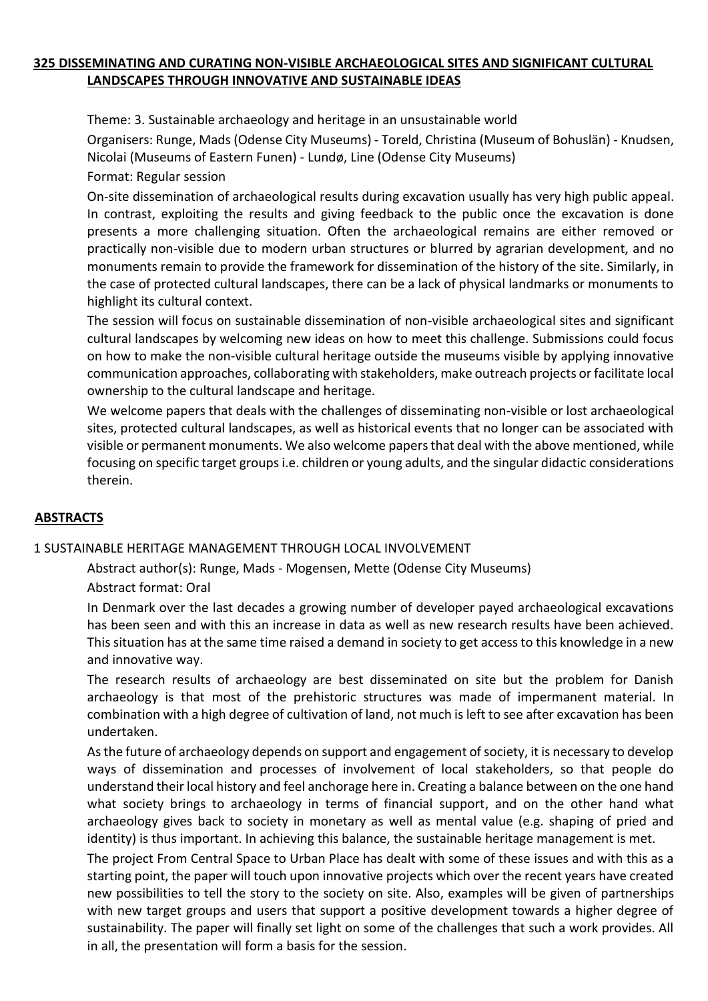### **325 DISSEMINATING AND CURATING NON-VISIBLE ARCHAEOLOGICAL SITES AND SIGNIFICANT CULTURAL LANDSCAPES THROUGH INNOVATIVE AND SUSTAINABLE IDEAS**

Theme: 3. Sustainable archaeology and heritage in an unsustainable world

Organisers: Runge, Mads (Odense City Museums) - Toreld, Christina (Museum of Bohuslän) - Knudsen, Nicolai (Museums of Eastern Funen) - Lundø, Line (Odense City Museums)

Format: Regular session

On-site dissemination of archaeological results during excavation usually has very high public appeal. In contrast, exploiting the results and giving feedback to the public once the excavation is done presents a more challenging situation. Often the archaeological remains are either removed or practically non-visible due to modern urban structures or blurred by agrarian development, and no monuments remain to provide the framework for dissemination of the history of the site. Similarly, in the case of protected cultural landscapes, there can be a lack of physical landmarks or monuments to highlight its cultural context.

The session will focus on sustainable dissemination of non-visible archaeological sites and significant cultural landscapes by welcoming new ideas on how to meet this challenge. Submissions could focus on how to make the non-visible cultural heritage outside the museums visible by applying innovative communication approaches, collaborating with stakeholders, make outreach projects or facilitate local ownership to the cultural landscape and heritage.

We welcome papers that deals with the challenges of disseminating non-visible or lost archaeological sites, protected cultural landscapes, as well as historical events that no longer can be associated with visible or permanent monuments. We also welcome papers that deal with the above mentioned, while focusing on specific target groups i.e. children or young adults, and the singular didactic considerations therein.

# **ABSTRACTS**

### 1 SUSTAINABLE HERITAGE MANAGEMENT THROUGH LOCAL INVOLVEMENT

Abstract author(s): Runge, Mads - Mogensen, Mette (Odense City Museums)

Abstract format: Oral

In Denmark over the last decades a growing number of developer payed archaeological excavations has been seen and with this an increase in data as well as new research results have been achieved. This situation has at the same time raised a demand in society to get access to this knowledge in a new and innovative way.

The research results of archaeology are best disseminated on site but the problem for Danish archaeology is that most of the prehistoric structures was made of impermanent material. In combination with a high degree of cultivation of land, not much is left to see after excavation has been undertaken.

As the future of archaeology depends on support and engagement of society, it is necessary to develop ways of dissemination and processes of involvement of local stakeholders, so that people do understand their local history and feel anchorage here in. Creating a balance between on the one hand what society brings to archaeology in terms of financial support, and on the other hand what archaeology gives back to society in monetary as well as mental value (e.g. shaping of pried and identity) is thus important. In achieving this balance, the sustainable heritage management is met.

The project From Central Space to Urban Place has dealt with some of these issues and with this as a starting point, the paper will touch upon innovative projects which over the recent years have created new possibilities to tell the story to the society on site. Also, examples will be given of partnerships with new target groups and users that support a positive development towards a higher degree of sustainability. The paper will finally set light on some of the challenges that such a work provides. All in all, the presentation will form a basis for the session.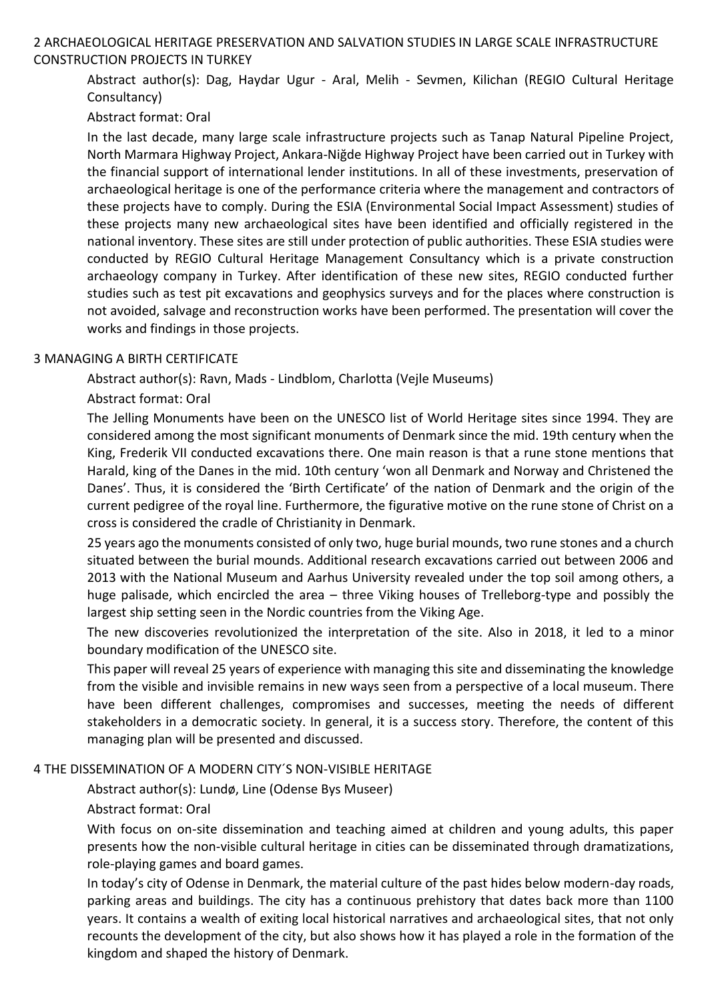# 2 ARCHAEOLOGICAL HERITAGE PRESERVATION AND SALVATION STUDIES IN LARGE SCALE INFRASTRUCTURE CONSTRUCTION PROJECTS IN TURKEY

Abstract author(s): Dag, Haydar Ugur - Aral, Melih - Sevmen, Kilichan (REGIO Cultural Heritage Consultancy)

# Abstract format: Oral

In the last decade, many large scale infrastructure projects such as Tanap Natural Pipeline Project, North Marmara Highway Project, Ankara-Niğde Highway Project have been carried out in Turkey with the financial support of international lender institutions. In all of these investments, preservation of archaeological heritage is one of the performance criteria where the management and contractors of these projects have to comply. During the ESIA (Environmental Social Impact Assessment) studies of these projects many new archaeological sites have been identified and officially registered in the national inventory. These sites are still under protection of public authorities. These ESIA studies were conducted by REGIO Cultural Heritage Management Consultancy which is a private construction archaeology company in Turkey. After identification of these new sites, REGIO conducted further studies such as test pit excavations and geophysics surveys and for the places where construction is not avoided, salvage and reconstruction works have been performed. The presentation will cover the works and findings in those projects.

### 3 MANAGING A BIRTH CERTIFICATE

Abstract author(s): Ravn, Mads - Lindblom, Charlotta (Vejle Museums)

# Abstract format: Oral

The Jelling Monuments have been on the UNESCO list of World Heritage sites since 1994. They are considered among the most significant monuments of Denmark since the mid. 19th century when the King, Frederik VII conducted excavations there. One main reason is that a rune stone mentions that Harald, king of the Danes in the mid. 10th century 'won all Denmark and Norway and Christened the Danes'. Thus, it is considered the 'Birth Certificate' of the nation of Denmark and the origin of the current pedigree of the royal line. Furthermore, the figurative motive on the rune stone of Christ on a cross is considered the cradle of Christianity in Denmark.

25 years ago the monuments consisted of only two, huge burial mounds, two rune stones and a church situated between the burial mounds. Additional research excavations carried out between 2006 and 2013 with the National Museum and Aarhus University revealed under the top soil among others, a huge palisade, which encircled the area – three Viking houses of Trelleborg-type and possibly the largest ship setting seen in the Nordic countries from the Viking Age.

The new discoveries revolutionized the interpretation of the site. Also in 2018, it led to a minor boundary modification of the UNESCO site.

This paper will reveal 25 years of experience with managing this site and disseminating the knowledge from the visible and invisible remains in new ways seen from a perspective of a local museum. There have been different challenges, compromises and successes, meeting the needs of different stakeholders in a democratic society. In general, it is a success story. Therefore, the content of this managing plan will be presented and discussed.

# 4 THE DISSEMINATION OF A MODERN CITY´S NON-VISIBLE HERITAGE

Abstract author(s): Lundø, Line (Odense Bys Museer)

# Abstract format: Oral

With focus on on-site dissemination and teaching aimed at children and young adults, this paper presents how the non-visible cultural heritage in cities can be disseminated through dramatizations, role-playing games and board games.

In today's city of Odense in Denmark, the material culture of the past hides below modern-day roads, parking areas and buildings. The city has a continuous prehistory that dates back more than 1100 years. It contains a wealth of exiting local historical narratives and archaeological sites, that not only recounts the development of the city, but also shows how it has played a role in the formation of the kingdom and shaped the history of Denmark.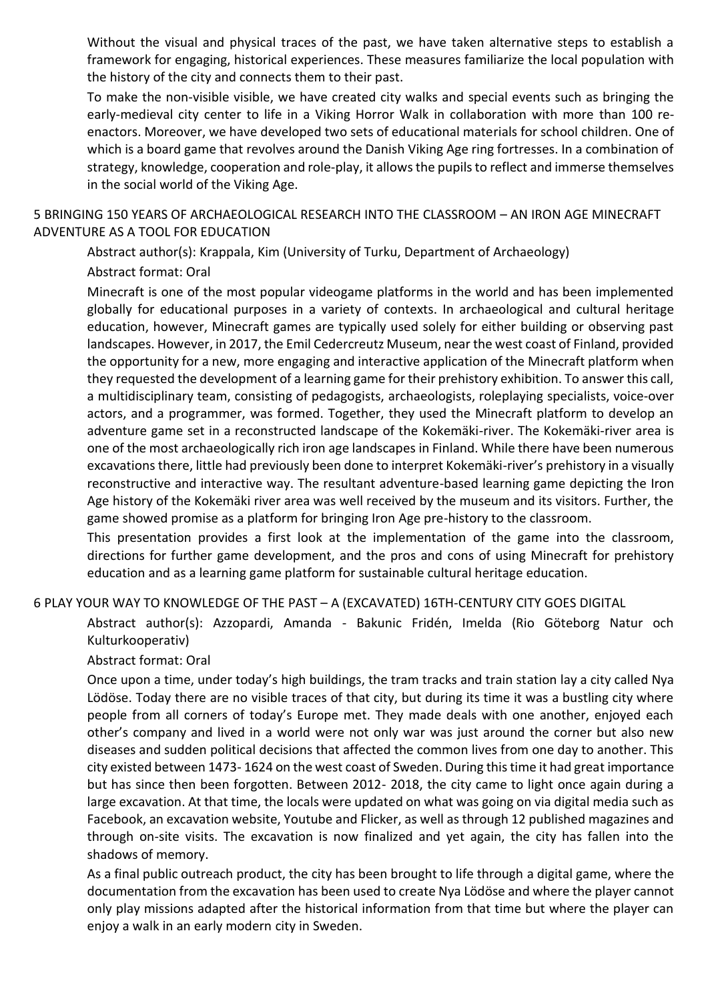Without the visual and physical traces of the past, we have taken alternative steps to establish a framework for engaging, historical experiences. These measures familiarize the local population with the history of the city and connects them to their past.

To make the non-visible visible, we have created city walks and special events such as bringing the early-medieval city center to life in a Viking Horror Walk in collaboration with more than 100 reenactors. Moreover, we have developed two sets of educational materials for school children. One of which is a board game that revolves around the Danish Viking Age ring fortresses. In a combination of strategy, knowledge, cooperation and role-play, it allows the pupils to reflect and immerse themselves in the social world of the Viking Age.

5 BRINGING 150 YEARS OF ARCHAEOLOGICAL RESEARCH INTO THE CLASSROOM – AN IRON AGE MINECRAFT ADVENTURE AS A TOOL FOR EDUCATION

Abstract author(s): Krappala, Kim (University of Turku, Department of Archaeology) Abstract format: Oral

Minecraft is one of the most popular videogame platforms in the world and has been implemented globally for educational purposes in a variety of contexts. In archaeological and cultural heritage education, however, Minecraft games are typically used solely for either building or observing past landscapes. However, in 2017, the Emil Cedercreutz Museum, near the west coast of Finland, provided the opportunity for a new, more engaging and interactive application of the Minecraft platform when they requested the development of a learning game for their prehistory exhibition. To answer this call, a multidisciplinary team, consisting of pedagogists, archaeologists, roleplaying specialists, voice-over actors, and a programmer, was formed. Together, they used the Minecraft platform to develop an adventure game set in a reconstructed landscape of the Kokemäki-river. The Kokemäki-river area is one of the most archaeologically rich iron age landscapes in Finland. While there have been numerous excavations there, little had previously been done to interpret Kokemäki-river's prehistory in a visually reconstructive and interactive way. The resultant adventure-based learning game depicting the Iron Age history of the Kokemäki river area was well received by the museum and its visitors. Further, the game showed promise as a platform for bringing Iron Age pre-history to the classroom.

This presentation provides a first look at the implementation of the game into the classroom, directions for further game development, and the pros and cons of using Minecraft for prehistory education and as a learning game platform for sustainable cultural heritage education.

6 PLAY YOUR WAY TO KNOWLEDGE OF THE PAST – A (EXCAVATED) 16TH-CENTURY CITY GOES DIGITAL

Abstract author(s): Azzopardi, Amanda - Bakunic Fridén, Imelda (Rio Göteborg Natur och Kulturkooperativ)

Abstract format: Oral

Once upon a time, under today's high buildings, the tram tracks and train station lay a city called Nya Lödöse. Today there are no visible traces of that city, but during its time it was a bustling city where people from all corners of today's Europe met. They made deals with one another, enjoyed each other's company and lived in a world were not only war was just around the corner but also new diseases and sudden political decisions that affected the common lives from one day to another. This city existed between 1473- 1624 on the west coast of Sweden. During this time it had great importance but has since then been forgotten. Between 2012- 2018, the city came to light once again during a large excavation. At that time, the locals were updated on what was going on via digital media such as Facebook, an excavation website, Youtube and Flicker, as well as through 12 published magazines and through on-site visits. The excavation is now finalized and yet again, the city has fallen into the shadows of memory.

As a final public outreach product, the city has been brought to life through a digital game, where the documentation from the excavation has been used to create Nya Lödöse and where the player cannot only play missions adapted after the historical information from that time but where the player can enjoy a walk in an early modern city in Sweden.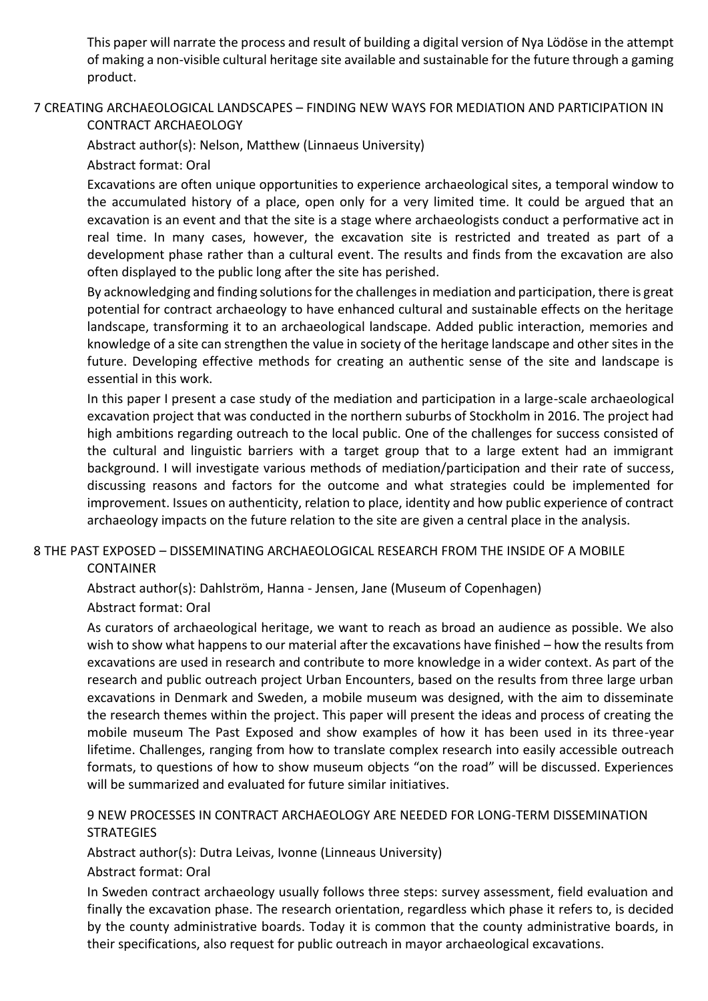This paper will narrate the process and result of building a digital version of Nya Lödöse in the attempt of making a non-visible cultural heritage site available and sustainable for the future through a gaming product.

# 7 CREATING ARCHAEOLOGICAL LANDSCAPES – FINDING NEW WAYS FOR MEDIATION AND PARTICIPATION IN

CONTRACT ARCHAEOLOGY

Abstract author(s): Nelson, Matthew (Linnaeus University)

Abstract format: Oral

Excavations are often unique opportunities to experience archaeological sites, a temporal window to the accumulated history of a place, open only for a very limited time. It could be argued that an excavation is an event and that the site is a stage where archaeologists conduct a performative act in real time. In many cases, however, the excavation site is restricted and treated as part of a development phase rather than a cultural event. The results and finds from the excavation are also often displayed to the public long after the site has perished.

By acknowledging and finding solutions for the challenges in mediation and participation, there is great potential for contract archaeology to have enhanced cultural and sustainable effects on the heritage landscape, transforming it to an archaeological landscape. Added public interaction, memories and knowledge of a site can strengthen the value in society of the heritage landscape and other sites in the future. Developing effective methods for creating an authentic sense of the site and landscape is essential in this work.

In this paper I present a case study of the mediation and participation in a large-scale archaeological excavation project that was conducted in the northern suburbs of Stockholm in 2016. The project had high ambitions regarding outreach to the local public. One of the challenges for success consisted of the cultural and linguistic barriers with a target group that to a large extent had an immigrant background. I will investigate various methods of mediation/participation and their rate of success, discussing reasons and factors for the outcome and what strategies could be implemented for improvement. Issues on authenticity, relation to place, identity and how public experience of contract archaeology impacts on the future relation to the site are given a central place in the analysis.

# 8 THE PAST EXPOSED – DISSEMINATING ARCHAEOLOGICAL RESEARCH FROM THE INSIDE OF A MOBILE

CONTAINER

Abstract author(s): Dahlström, Hanna - Jensen, Jane (Museum of Copenhagen)

Abstract format: Oral

As curators of archaeological heritage, we want to reach as broad an audience as possible. We also wish to show what happens to our material after the excavations have finished – how the results from excavations are used in research and contribute to more knowledge in a wider context. As part of the research and public outreach project Urban Encounters, based on the results from three large urban excavations in Denmark and Sweden, a mobile museum was designed, with the aim to disseminate the research themes within the project. This paper will present the ideas and process of creating the mobile museum The Past Exposed and show examples of how it has been used in its three-year lifetime. Challenges, ranging from how to translate complex research into easily accessible outreach formats, to questions of how to show museum objects "on the road" will be discussed. Experiences will be summarized and evaluated for future similar initiatives.

# 9 NEW PROCESSES IN CONTRACT ARCHAEOLOGY ARE NEEDED FOR LONG-TERM DISSEMINATION **STRATEGIES**

Abstract author(s): Dutra Leivas, Ivonne (Linneaus University)

Abstract format: Oral

In Sweden contract archaeology usually follows three steps: survey assessment, field evaluation and finally the excavation phase. The research orientation, regardless which phase it refers to, is decided by the county administrative boards. Today it is common that the county administrative boards, in their specifications, also request for public outreach in mayor archaeological excavations.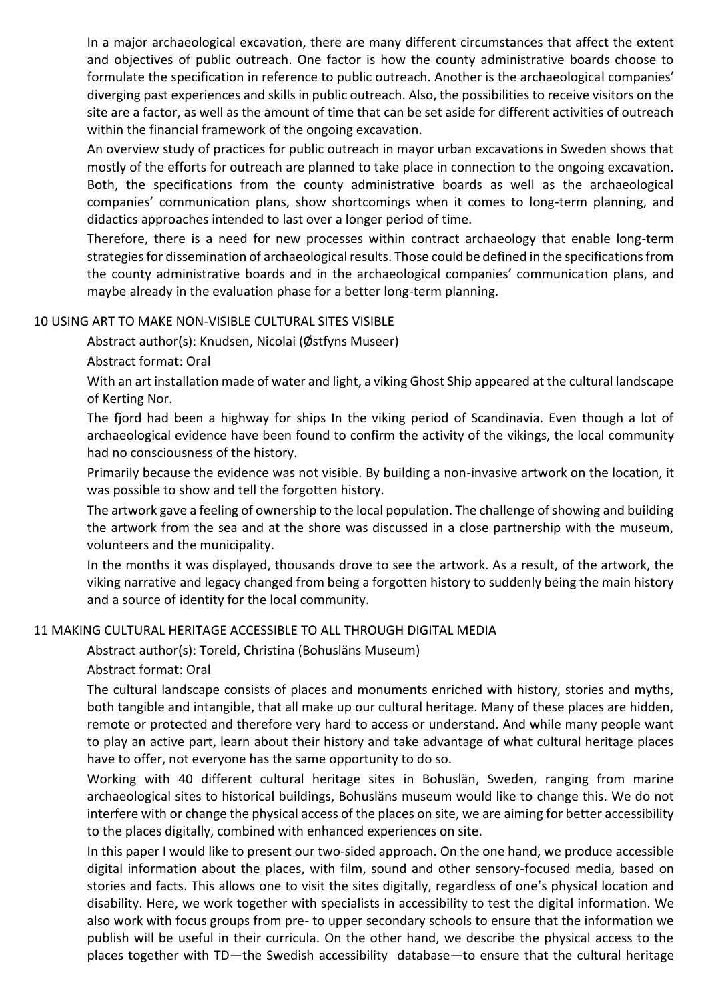In a major archaeological excavation, there are many different circumstances that affect the extent and objectives of public outreach. One factor is how the county administrative boards choose to formulate the specification in reference to public outreach. Another is the archaeological companies' diverging past experiences and skills in public outreach. Also, the possibilities to receive visitors on the site are a factor, as well as the amount of time that can be set aside for different activities of outreach within the financial framework of the ongoing excavation.

An overview study of practices for public outreach in mayor urban excavations in Sweden shows that mostly of the efforts for outreach are planned to take place in connection to the ongoing excavation. Both, the specifications from the county administrative boards as well as the archaeological companies' communication plans, show shortcomings when it comes to long-term planning, and didactics approaches intended to last over a longer period of time.

Therefore, there is a need for new processes within contract archaeology that enable long-term strategies for dissemination of archaeological results. Those could be defined in the specifications from the county administrative boards and in the archaeological companies' communication plans, and maybe already in the evaluation phase for a better long-term planning.

### 10 USING ART TO MAKE NON-VISIBLE CULTURAL SITES VISIBLE

Abstract author(s): Knudsen, Nicolai (Østfyns Museer)

Abstract format: Oral

With an art installation made of water and light, a viking Ghost Ship appeared at the cultural landscape of Kerting Nor.

The fjord had been a highway for ships In the viking period of Scandinavia. Even though a lot of archaeological evidence have been found to confirm the activity of the vikings, the local community had no consciousness of the history.

Primarily because the evidence was not visible. By building a non-invasive artwork on the location, it was possible to show and tell the forgotten history.

The artwork gave a feeling of ownership to the local population. The challenge of showing and building the artwork from the sea and at the shore was discussed in a close partnership with the museum, volunteers and the municipality.

In the months it was displayed, thousands drove to see the artwork. As a result, of the artwork, the viking narrative and legacy changed from being a forgotten history to suddenly being the main history and a source of identity for the local community.

### 11 MAKING CULTURAL HERITAGE ACCESSIBLE TO ALL THROUGH DIGITAL MEDIA

Abstract author(s): Toreld, Christina (Bohusläns Museum)

### Abstract format: Oral

The cultural landscape consists of places and monuments enriched with history, stories and myths, both tangible and intangible, that all make up our cultural heritage. Many of these places are hidden, remote or protected and therefore very hard to access or understand. And while many people want to play an active part, learn about their history and take advantage of what cultural heritage places have to offer, not everyone has the same opportunity to do so.

Working with 40 different cultural heritage sites in Bohuslän, Sweden, ranging from marine archaeological sites to historical buildings, Bohusläns museum would like to change this. We do not interfere with or change the physical access of the places on site, we are aiming for better accessibility to the places digitally, combined with enhanced experiences on site.

In this paper I would like to present our two-sided approach. On the one hand, we produce accessible digital information about the places, with film, sound and other sensory-focused media, based on stories and facts. This allows one to visit the sites digitally, regardless of one's physical location and disability. Here, we work together with specialists in accessibility to test the digital information. We also work with focus groups from pre- to upper secondary schools to ensure that the information we publish will be useful in their curricula. On the other hand, we describe the physical access to the places together with TD—the Swedish accessibility database—to ensure that the cultural heritage